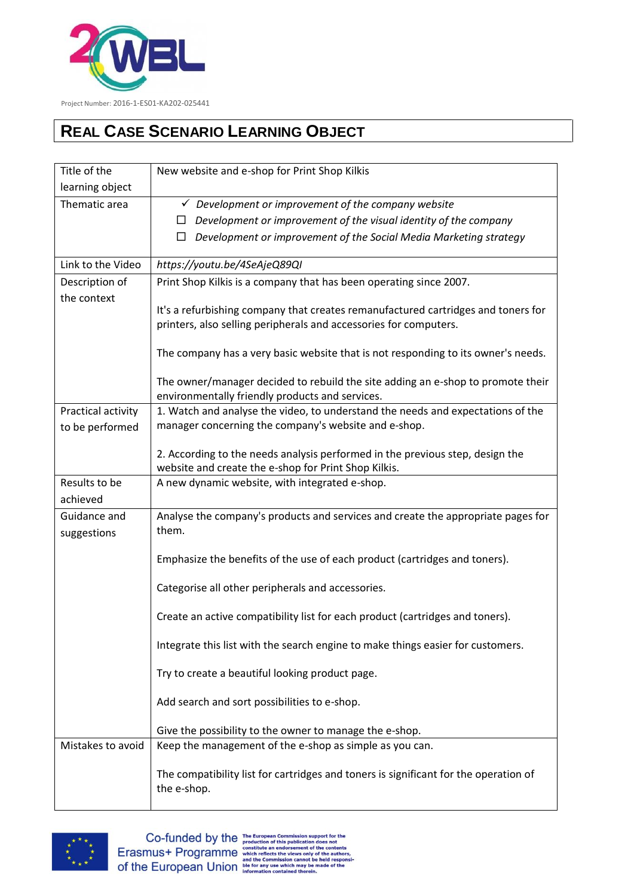

## **REAL CASE SCENARIO LEARNING OBJECT**

| Title of the                | New website and e-shop for Print Shop Kilkis                                                                                          |
|-----------------------------|---------------------------------------------------------------------------------------------------------------------------------------|
| learning object             |                                                                                                                                       |
| Thematic area               | $\checkmark$ Development or improvement of the company website                                                                        |
|                             | Development or improvement of the visual identity of the company<br>⊔.                                                                |
|                             | Development or improvement of the Social Media Marketing strategy<br>ш                                                                |
| Link to the Video           | https://youtu.be/4SeAjeQ89QI                                                                                                          |
| Description of              | Print Shop Kilkis is a company that has been operating since 2007.                                                                    |
| the context                 |                                                                                                                                       |
|                             | It's a refurbishing company that creates remanufactured cartridges and toners for                                                     |
|                             | printers, also selling peripherals and accessories for computers.                                                                     |
|                             | The company has a very basic website that is not responding to its owner's needs.                                                     |
|                             | The owner/manager decided to rebuild the site adding an e-shop to promote their<br>environmentally friendly products and services.    |
| Practical activity          | 1. Watch and analyse the video, to understand the needs and expectations of the                                                       |
| to be performed             | manager concerning the company's website and e-shop.                                                                                  |
|                             |                                                                                                                                       |
|                             | 2. According to the needs analysis performed in the previous step, design the<br>website and create the e-shop for Print Shop Kilkis. |
| Results to be               | A new dynamic website, with integrated e-shop.                                                                                        |
| achieved                    |                                                                                                                                       |
| Guidance and<br>suggestions | Analyse the company's products and services and create the appropriate pages for<br>them.                                             |
|                             | Emphasize the benefits of the use of each product (cartridges and toners).                                                            |
|                             | Categorise all other peripherals and accessories.                                                                                     |
|                             | Create an active compatibility list for each product (cartridges and toners).                                                         |
|                             | Integrate this list with the search engine to make things easier for customers.                                                       |
|                             | Try to create a beautiful looking product page.                                                                                       |
|                             | Add search and sort possibilities to e-shop.                                                                                          |
|                             | Give the possibility to the owner to manage the e-shop.                                                                               |
| Mistakes to avoid           | Keep the management of the e-shop as simple as you can.                                                                               |
|                             | The compatibility list for cartridges and toners is significant for the operation of<br>the e-shop.                                   |